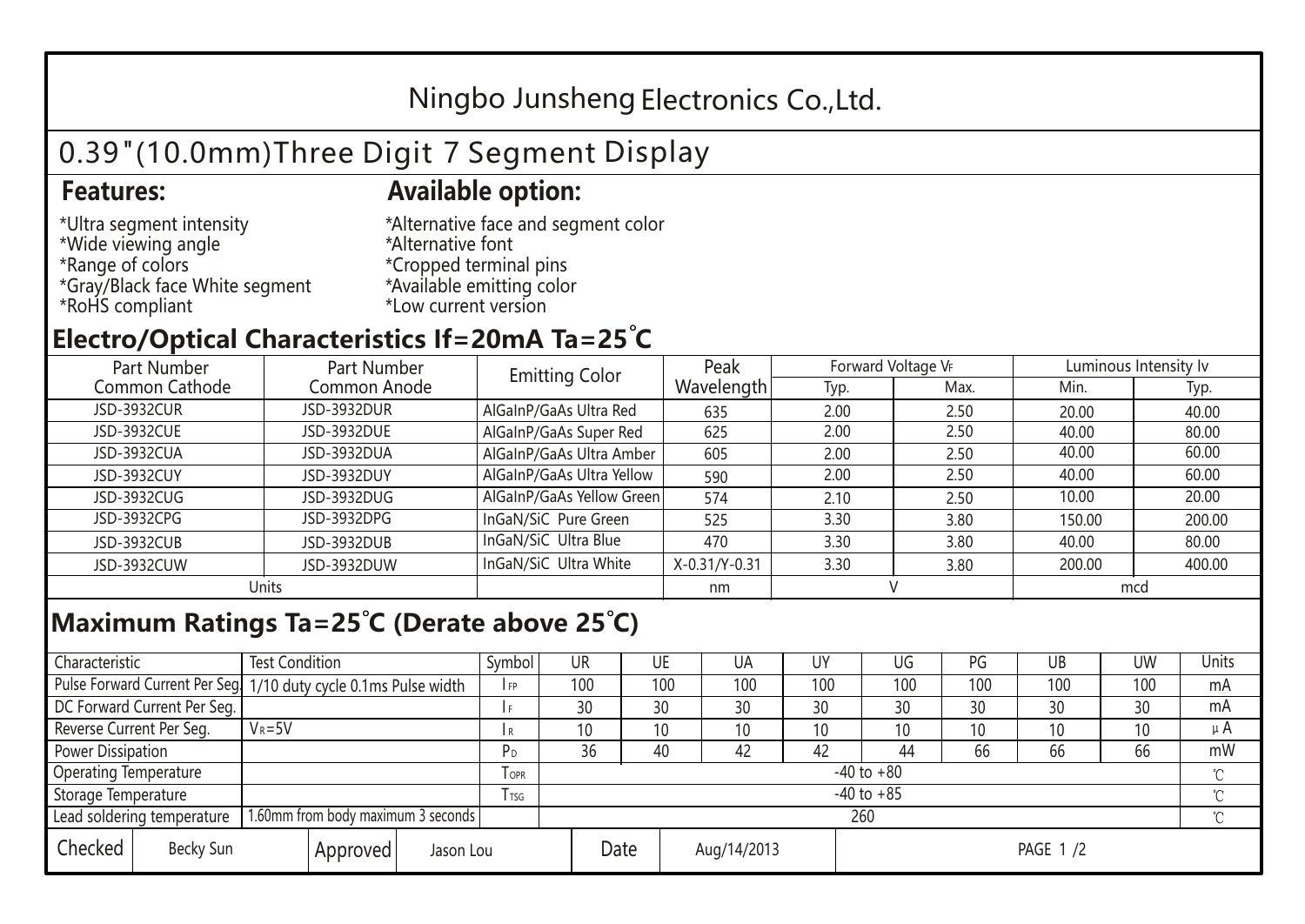## Ningbo Junsheng Electronics Co.,Ltd.

# 0.39"(10.0mm)Three Digit 7 Segment Display

### **Features: Available option:**

- \*Ultra segment intensity \*Wide viewing angle \*Range of colors \*Gray/Black face White segment \*RoHS compliant
- \*Alternative face and segment color \*Alternative font \*Cropped terminal pins \*Available emitting color \*Low current version

### **Electro/Optical Characteristics If=20mA Ta=25 C**

| Part Number<br>Part Number |              | <b>Emitting Color</b>     | Peak          | Forward Voltage VF |      | Luminous Intensity Iv |        |  |
|----------------------------|--------------|---------------------------|---------------|--------------------|------|-----------------------|--------|--|
| Common Cathode             | Common Anode |                           | Wavelength    | Typ.               | Max. | Min.                  | Typ.   |  |
| <b>JSD-3932CUR</b>         | JSD-3932DUR  | AlGaInP/GaAs Ultra Red    | 635           | 2.00               | 2.50 | 20.00                 | 40.00  |  |
| JSD-3932CUE                | JSD-3932DUE  | AlGaInP/GaAs Super Red    | 625           | 2.00               | 2.50 | 40.00                 | 80.00  |  |
| JSD-3932CUA                | JSD-3932DUA  | AlGaInP/GaAs Ultra Amber  | 605           | 2.00               | 2.50 | 40.00                 | 60.00  |  |
| JSD-3932CUY                | JSD-3932DUY  | AlGaInP/GaAs Ultra Yellow | 590           | 2.00               | 2.50 | 40.00                 | 60.00  |  |
| JSD-3932CUG                | JSD-3932DUG  | AlGaInP/GaAs Yellow Green | 574           | 2.10               | 2.50 | 10.00                 | 20.00  |  |
| JSD-3932CPG                | JSD-3932DPG  | InGaN/SiC Pure Green      | 525           | 3.30               | 3.80 | 150.00                | 200.00 |  |
| JSD-3932CUB                | JSD-3932DUB  | InGaN/SiC Ultra Blue      | 470           | 3.30               | 3.80 | 40.00                 | 80.00  |  |
| JSD-3932CUW                | JSD-3932DUW  | InGaN/SiC Ultra White     | X-0.31/Y-0.31 | 3.30               | 3.80 | 200.00                | 400.00 |  |
| Units                      |              |                           | nm            |                    |      | mcd                   |        |  |

### **Maximum Ratings Ta=25°C (Derate above 25°C)**

| Characteristic                                                   |                                                                  | <b>Test Condition</b> |            |                 | Symbol              | <b>UR</b>       |     | UE  | UA       | UY  | UG  | PG  | UB           | <b>UW</b> | Units |
|------------------------------------------------------------------|------------------------------------------------------------------|-----------------------|------------|-----------------|---------------------|-----------------|-----|-----|----------|-----|-----|-----|--------------|-----------|-------|
|                                                                  | Pulse Forward Current Per Seg. 1/10 duty cycle 0.1ms Pulse width |                       |            | F <sub>P</sub>  | 100                 |                 | 100 | 100 | 100      | 100 | 100 | 100 | 100          | mA        |       |
|                                                                  | DC Forward Current Per Seg.                                      |                       |            |                 | f F                 | 30              |     | 30  | 30       | 30  | 30  | 30  | 30           | 30        | mA    |
| Reverse Current Per Seg.                                         |                                                                  | $V_R = 5V$            |            |                 | I R                 | 10 <sup>°</sup> |     | 10  | 10       | 10  | 10  | 10  | 10           | 10        | μ $A$ |
|                                                                  | Power Dissipation                                                |                       |            |                 | P <sub>D</sub>      | 36              |     | 40  | 42       | 42  | 44  | 66  | 66           | 66        | mW    |
| <b>Operating Temperature</b>                                     |                                                                  |                       | <b>OPR</b> | $-40$ to $+80$  |                     |                 |     |     |          |     |     |     | $\gamma$     |           |       |
| Storage Temperature                                              |                                                                  |                       | l tsg      | $-40$ to $+85$  |                     |                 |     |     |          |     |     |     | $^{\circ}$ C |           |       |
| 1.60mm from body maximum 3 seconds<br>Lead soldering temperature |                                                                  |                       |            | 260<br>$\gamma$ |                     |                 |     |     |          |     |     |     |              |           |       |
| Checked                                                          | Becky Sun                                                        | Approved<br>Jason Lou |            |                 | Date<br>Aug/14/2013 |                 |     |     | PAGE 1/2 |     |     |     |              |           |       |